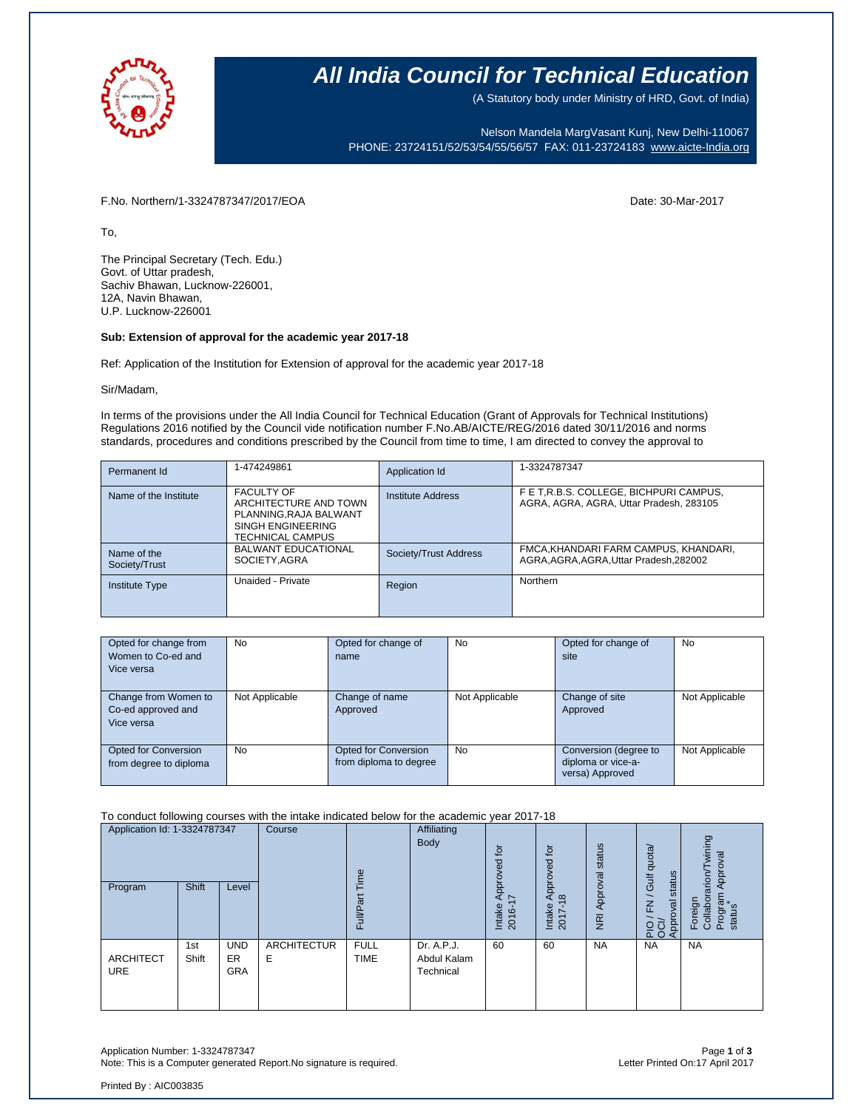

# **All India Council for Technical Education**

(A Statutory body under Ministry of HRD, Govt. of India)

Nelson Mandela MargVasant Kunj, New Delhi-110067 PHONE: 23724151/52/53/54/55/56/57 FAX: 011-23724183 [www.aicte-India.org](http://www.aicte-india.org/)

F.No. Northern/1-3324787347/2017/EOA Date: 30-Mar-2017

To,

The Principal Secretary (Tech. Edu.) Govt. of Uttar pradesh, Sachiv Bhawan, Lucknow-226001, 12A, Navin Bhawan, U.P. Lucknow-226001

### **Sub: Extension of approval for the academic year 2017-18**

Ref: Application of the Institution for Extension of approval for the academic year 2017-18

#### Sir/Madam,

In terms of the provisions under the All India Council for Technical Education (Grant of Approvals for Technical Institutions) Regulations 2016 notified by the Council vide notification number F.No.AB/AICTE/REG/2016 dated 30/11/2016 and norms standards, procedures and conditions prescribed by the Council from time to time, I am directed to convey the approval to

| Permanent Id                 | 1-474249861                                                                                                         | Application Id        | 1-3324787347                                                                      |
|------------------------------|---------------------------------------------------------------------------------------------------------------------|-----------------------|-----------------------------------------------------------------------------------|
| Name of the Institute        | <b>FACULTY OF</b><br>ARCHITECTURE AND TOWN<br>PLANNING RAJA BALWANT<br>SINGH ENGINEERING<br><b>TECHNICAL CAMPUS</b> | Institute Address     | F E T.R.B.S. COLLEGE, BICHPURI CAMPUS,<br>AGRA, AGRA, AGRA, Uttar Pradesh, 283105 |
| Name of the<br>Society/Trust | <b>BALWANT EDUCATIONAL</b><br>SOCIETY, AGRA                                                                         | Society/Trust Address | FMCA, KHANDARI FARM CAMPUS, KHANDARI,<br>AGRA, AGRA, AGRA, Uttar Pradesh, 282002  |
| Institute Type               | Unaided - Private                                                                                                   | Region                | Northern                                                                          |

| Opted for change from  | <b>No</b>      | Opted for change of    | <b>No</b>      | Opted for change of   | <b>No</b>      |
|------------------------|----------------|------------------------|----------------|-----------------------|----------------|
| Women to Co-ed and     |                | name                   |                | site                  |                |
| Vice versa             |                |                        |                |                       |                |
|                        |                |                        |                |                       |                |
| Change from Women to   | Not Applicable | Change of name         | Not Applicable | Change of site        | Not Applicable |
| Co-ed approved and     |                | Approved               |                | Approved              |                |
| Vice versa             |                |                        |                |                       |                |
|                        |                |                        |                |                       |                |
| Opted for Conversion   | No.            | Opted for Conversion   | <b>No</b>      | Conversion (degree to | Not Applicable |
| from degree to diploma |                | from diploma to degree |                | diploma or vice-a-    |                |
|                        |                |                        |                | versa) Approved       |                |

To conduct following courses with the intake indicated below for the academic year 2017-18

| Application Id: 1-3324787347   |              | Course                         | Φ                       |                            | ίō<br>್ಹ                               | Approved for                      | status                           | dnota/<br>status<br>Gulf   | wining<br>Approval<br>arion                     |                                                      |
|--------------------------------|--------------|--------------------------------|-------------------------|----------------------------|----------------------------------------|-----------------------------------|----------------------------------|----------------------------|-------------------------------------------------|------------------------------------------------------|
| Program                        | <b>Shift</b> | Level                          |                         | ಹ<br>≣<br>ш                |                                        | Appro<br>$\sim$<br>Intake<br>2016 | $\frac{8}{2}$<br>Intake<br>2017- | Approval<br>$\overline{R}$ | $\overline{\phantom{0}}$<br>Approval<br>준<br>운영 | Program<br>status<br>Foreign<br>Collabor<br>$\Delta$ |
| <b>ARCHITECT</b><br><b>URE</b> | 1st<br>Shift | <b>UND</b><br>ER<br><b>GRA</b> | <b>ARCHITECTUR</b><br>Ε | <b>FULL</b><br><b>TIME</b> | Dr. A.P.J.<br>Abdul Kalam<br>Technical | 60                                | 60                               | <b>NA</b>                  | <b>NA</b>                                       | <b>NA</b>                                            |

Application Number: 1-3324787347 Page **1** of **3** Note: This is a Computer generated Report.No signature is required.

Printed By : AIC003835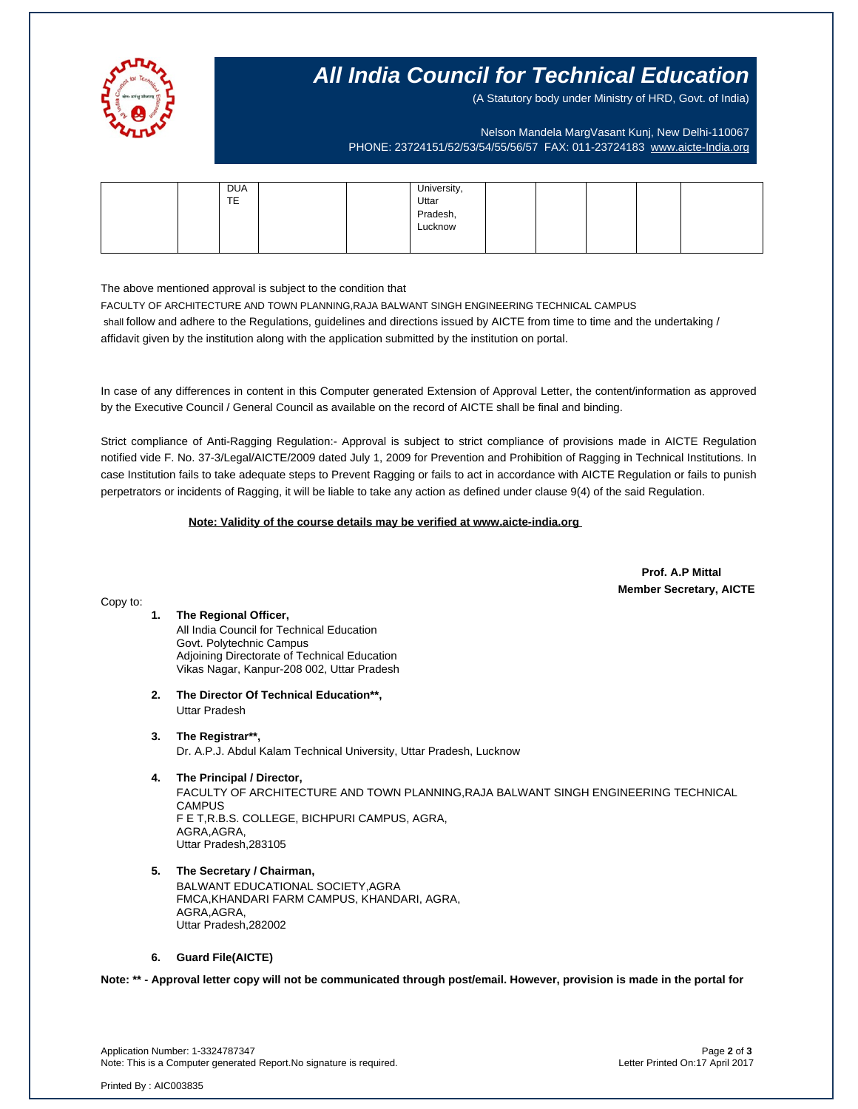

# **All India Council for Technical Education**

(A Statutory body under Ministry of HRD, Govt. of India)

Nelson Mandela MargVasant Kunj, New Delhi-110067 PHONE: 23724151/52/53/54/55/56/57 FAX: 011-23724183 [www.aicte-India.org](http://www.aicte-india.org/)

|    | <b>DUA</b> |                      |  |  |
|----|------------|----------------------|--|--|
| TE |            | University,<br>Uttar |  |  |
|    |            | Pradesh,<br>Lucknow  |  |  |
|    |            |                      |  |  |
|    |            |                      |  |  |

The above mentioned approval is subject to the condition that

FACULTY OF ARCHITECTURE AND TOWN PLANNING,RAJA BALWANT SINGH ENGINEERING TECHNICAL CAMPUS shall follow and adhere to the Regulations, guidelines and directions issued by AICTE from time to time and the undertaking / affidavit given by the institution along with the application submitted by the institution on portal.

In case of any differences in content in this Computer generated Extension of Approval Letter, the content/information as approved by the Executive Council / General Council as available on the record of AICTE shall be final and binding.

Strict compliance of Anti-Ragging Regulation:- Approval is subject to strict compliance of provisions made in AICTE Regulation notified vide F. No. 37-3/Legal/AICTE/2009 dated July 1, 2009 for Prevention and Prohibition of Ragging in Technical Institutions. In case Institution fails to take adequate steps to Prevent Ragging or fails to act in accordance with AICTE Regulation or fails to punish perpetrators or incidents of Ragging, it will be liable to take any action as defined under clause 9(4) of the said Regulation.

 **Note: Validity of the course details may be verified at www.aicte-india.org** 

 **Prof. A.P Mittal Member Secretary, AICTE**

#### Copy to:

# **1. The Regional Officer,**

All India Council for Technical Education Govt. Polytechnic Campus Adjoining Directorate of Technical Education Vikas Nagar, Kanpur-208 002, Uttar Pradesh

**2. The Director Of Technical Education\*\*,** Uttar Pradesh

# **3. The Registrar\*\*,**

Dr. A.P.J. Abdul Kalam Technical University, Uttar Pradesh, Lucknow

# **4. The Principal / Director,**

FACULTY OF ARCHITECTURE AND TOWN PLANNING,RAJA BALWANT SINGH ENGINEERING TECHNICAL **CAMPUS** F E T,R.B.S. COLLEGE, BICHPURI CAMPUS, AGRA, AGRA,AGRA, Uttar Pradesh,283105

## **5. The Secretary / Chairman,**

BALWANT EDUCATIONAL SOCIETY,AGRA FMCA,KHANDARI FARM CAMPUS, KHANDARI, AGRA, AGRA,AGRA, Uttar Pradesh,282002

#### **6. Guard File(AICTE)**

**Note: \*\* - Approval letter copy will not be communicated through post/email. However, provision is made in the portal for** 

Application Number: 1-3324787347 Page **2** of **3** Note: This is a Computer generated Report.No signature is required.